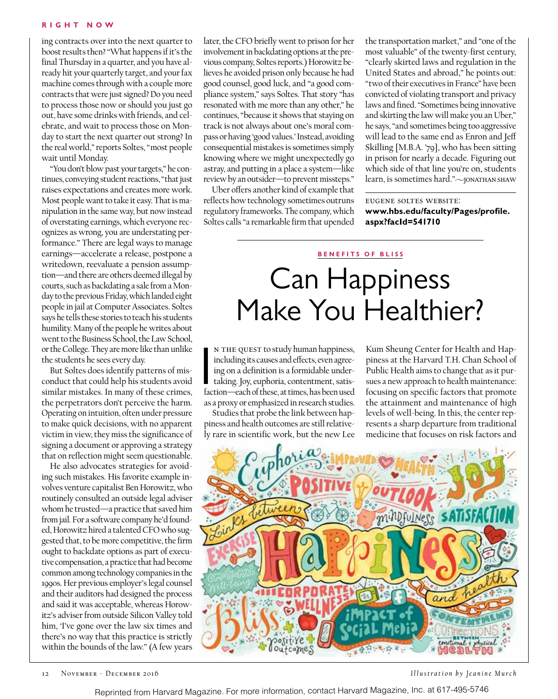#### **R i g h t N o w**

ing contracts over into the next quarter to boost results then? "What happens if it's the final Thursday in a quarter, and you have already hit your quarterly target, and your fax machine comes through with a couple more contracts that were just signed? Do you need to process those now or should you just go out, have some drinks with friends, and celebrate, and wait to process those on Monday to start the next quarter out strong? In the real world," reports Soltes, "most people wait until Monday.

"You don't blow past your targets," he continues, conveying student reactions, "that just raises expectations and creates more work. Most people want to take it easy. That is manipulation in the same way, but now instead of overstating earnings, which everyone recognizes as wrong, you are understating performance." There are legal ways to manage earnings—accelerate a release, postpone a writedown, reevaluate a pension assumption—and there are others deemed illegal by courts, such as backdating a sale from a Monday to the previous Friday, which landed eight people in jail at Computer Associates. Soltes says he tells these stories to teach his students humility. Many of the people he writes about went to the Business School, the Law School, or the College. They are more like than unlike the students he sees every day.

But Soltes does identify patterns of misconduct that could help his students avoid similar mistakes. In many of these crimes, the perpetrators don't perceive the harm. Operating on intuition, often under pressure to make quick decisions, with no apparent victim in view, they miss the significance of signing a document or approving a strategy that on reflection might seem questionable.

He also advocates strategies for avoiding such mistakes. His favorite example involves venture capitalist Ben Horowitz, who routinely consulted an outside legal adviser whom he trusted—a practice that saved him from jail. For a software company he'd founded, Horowitz hired a talented CFO who suggested that, to be more competitive, the firm ought to backdate options as part of executive compensation, a practice that had become common among technology companies in the 1990s. Her previous employer's legal counsel and their auditors had designed the process and said it was acceptable, whereas Horowitz's adviser from outside Silicon Valley told him, 'I've gone over the law six times and there's no way that this practice is strictly within the bounds of the law." (A few years

later, the CFO briefly went to prison for her involvement in backdating options at the previous company, Soltes reports.) Horowitz believes he avoided prison only because he had good counsel, good luck, and "a good compliance system," says Soltes. That story "has resonated with me more than any other," he continues, "because it shows that staying on track is not always about one's moral compass or having 'good values.' Instead, avoiding consequential mistakes is sometimes simply knowing where we might unexpectedly go astray, and putting in a place a system—like review by an outsider—to prevent missteps."

Uber offers another kind of example that reflects how technology sometimes outruns regulatory frameworks. The company, which Soltes calls "a remarkable firm that upended the transportation market," and "one of the most valuable" of the twenty-first century, "clearly skirted laws and regulation in the United States and abroad," he points out: "two of their executives in France" have been convicted of violating transport and privacy laws and fined. "Sometimes being innovative and skirting the law will make you an Uber," he says, "and sometimes being too aggressive will lead to the same end as Enron and Jeff Skilling [M.B.A. '79], who has been sitting in prison for nearly a decade. Figuring out which side of that line you're on, students learn, is sometimes hard." $\sim$ JONATHAN SHAW

eugene soltes website: **www.hbs.edu/faculty/Pages/profile. aspx?facId=541710**

## **BENEFITS OF BLISS** Can Happiness Make You Healthier?

N THE QUEST to study human happiness,<br>including its causes and effects, even agree-<br>ing on a definition is a formidable under-<br>taking. Joy, euphoria, contentment, satis-<br>faction—each of these, at times, has been used n the quest to study human happiness, including its causes and effects, even agreeing on a definition is a formidable undertaking. Joy, euphoria, contentment, satisas a proxy or emphasized in research studies.

Studies that probe the link between happiness and health outcomes are still relatively rare in scientific work, but the new Lee

Kum Sheung Center for Health and Happiness at the Harvard T.H. Chan School of Public Health aims to change that as it pursues a new approach to health maintenance: focusing on specific factors that promote the attainment and maintenance of high levels of well-being. In this, the center represents a sharp departure from traditional medicine that focuses on risk factors and